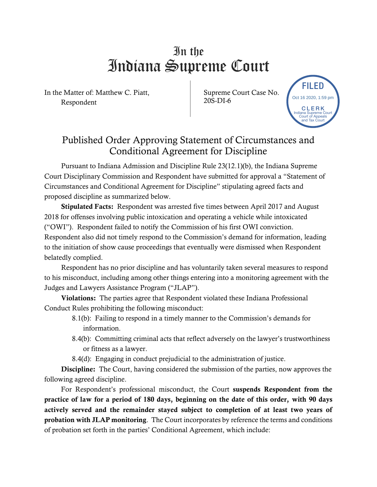## In the Indiana Supreme Court

In the Matter of: Matthew C. Piatt, Respondent

Supreme Court Case No. 20S-DI-6



## Published Order Approving Statement of Circumstances and Conditional Agreement for Discipline

Pursuant to Indiana Admission and Discipline Rule 23(12.1)(b), the Indiana Supreme Court Disciplinary Commission and Respondent have submitted for approval a "Statement of Circumstances and Conditional Agreement for Discipline" stipulating agreed facts and proposed discipline as summarized below.

Stipulated Facts: Respondent was arrested five times between April 2017 and August 2018 for offenses involving public intoxication and operating a vehicle while intoxicated ("OWI"). Respondent failed to notify the Commission of his first OWI conviction. Respondent also did not timely respond to the Commission's demand for information, leading to the initiation of show cause proceedings that eventually were dismissed when Respondent belatedly complied.

Respondent has no prior discipline and has voluntarily taken several measures to respond to his misconduct, including among other things entering into a monitoring agreement with the Judges and Lawyers Assistance Program ("JLAP").

Violations: The parties agree that Respondent violated these Indiana Professional Conduct Rules prohibiting the following misconduct:

- 8.1(b): Failing to respond in a timely manner to the Commission's demands for information.
- 8.4(b): Committing criminal acts that reflect adversely on the lawyer's trustworthiness or fitness as a lawyer.
- 8.4(d): Engaging in conduct prejudicial to the administration of justice.

Discipline: The Court, having considered the submission of the parties, now approves the following agreed discipline.

For Respondent's professional misconduct, the Court suspends Respondent from the practice of law for a period of 180 days, beginning on the date of this order, with 90 days actively served and the remainder stayed subject to completion of at least two years of probation with JLAP monitoring. The Court incorporates by reference the terms and conditions of probation set forth in the parties' Conditional Agreement, which include: